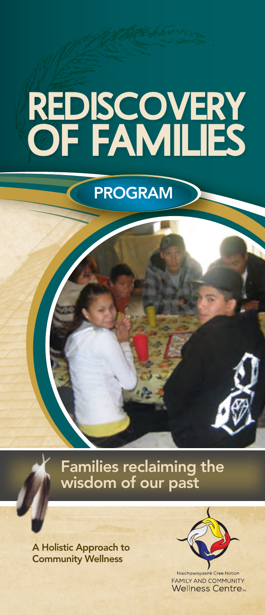# **REDISCOVERY OF FAMILIES**

# PROGRAM

Families reclaiming the wisdom of our past

A Holistic Approach to Community Wellness



**FAMILY AND COMMUNITY Wellness Centre**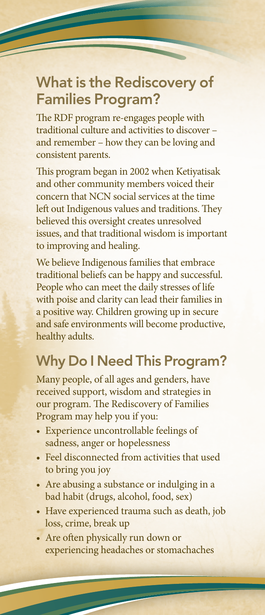#### What is the Rediscovery of Families Program?

F

The RDF program re-engages people with traditional culture and activities to discover – and remember – how they can be loving and consistent parents.

This program began in 2002 when Ketiyatisak and other community members voiced their concern that NCN social services at the time left out Indigenous values and traditions. They believed this oversight creates unresolved issues, and that traditional wisdom is important to improving and healing.

We believe Indigenous families that embrace traditional beliefs can be happy and successful. People who can meet the daily stresses of life with poise and clarity can lead their families in a positive way. Children growing up in secure and safe environments will become productive, healthy adults.

## Why Do I Need This Program?

Many people, of all ages and genders, have received support, wisdom and strategies in our program. The Rediscovery of Families Program may help you if you:

- Experience uncontrollable feelings of sadness, anger or hopelessness
- Feel disconnected from activities that used to bring you joy
- Are abusing a substance or indulging in a bad habit (drugs, alcohol, food, sex)
- Have experienced trauma such as death, job loss, crime, break up
- Are often physically run down or experiencing headaches or stomachaches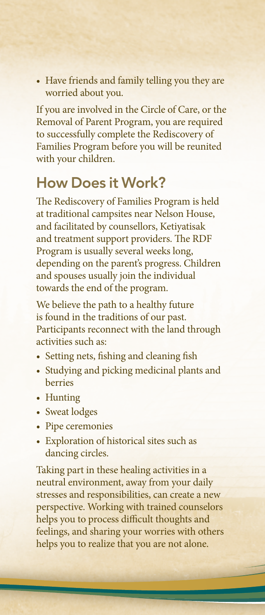• Have friends and family telling you they are worried about you.

If you are involved in the Circle of Care, or the Removal of Parent Program, you are required to successfully complete the Rediscovery of Families Program before you will be reunited with your children.

#### How Does it Work?

The Rediscovery of Families Program is held at traditional campsites near Nelson House, and facilitated by counsellors, Ketiyatisak and treatment support providers. The RDF Program is usually several weeks long, depending on the parent's progress. Children and spouses usually join the individual towards the end of the program.

We believe the path to a healthy future is found in the traditions of our past. Participants reconnect with the land through activities such as:

- Setting nets, fishing and cleaning fish
- Studying and picking medicinal plants and berries
- Hunting
- Sweat lodges
- Pipe ceremonies
- Exploration of historical sites such as dancing circles.

Taking part in these healing activities in a neutral environment, away from your daily stresses and responsibilities, can create a new perspective. Working with trained counselors helps you to process difficult thoughts and feelings, and sharing your worries with others helps you to realize that you are not alone.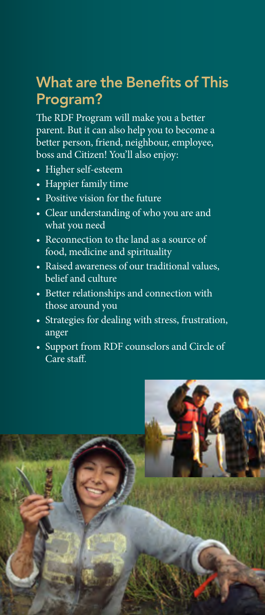## What are the Benefits of This Program?

The RDF Program will make you a better parent. But it can also help you to become a better person, friend, neighbour, employee, boss and Citizen! You'll also enjoy:

- Higher self-esteem
- Happier family time
- Positive vision for the future
- Clear understanding of who you are and what you need
- Reconnection to the land as a source of food, medicine and spirituality
- Raised awareness of our traditional values, belief and culture
- Better relationships and connection with those around you
- Strategies for dealing with stress, frustration, anger
- Support from RDF counselors and Circle of Care staff.

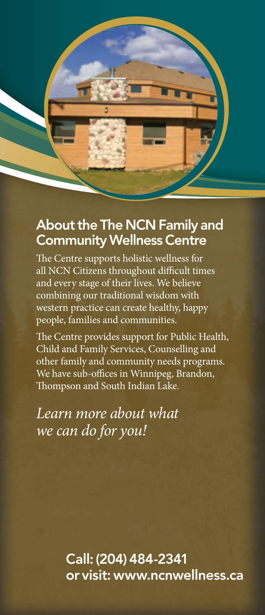

#### About the The NCN Family and Community Wellness Centre

The Centre supports holistic wellness for all NCN Citizens throughout difficult times and every stage of their lives. We believe combining our traditional wisdom with western practice can create healthy, happy people, families and communities.

The Centre provides support for Public Health, Child and Family Services, Counselling and other family and community needs programs. We have sub-offices in Winnipeg, Brandon, Thompson and South Indian Lake.

*Learn more about what we can do for you!*

> Call: (204) 484-2341 or visit: www.ncnwellness.ca